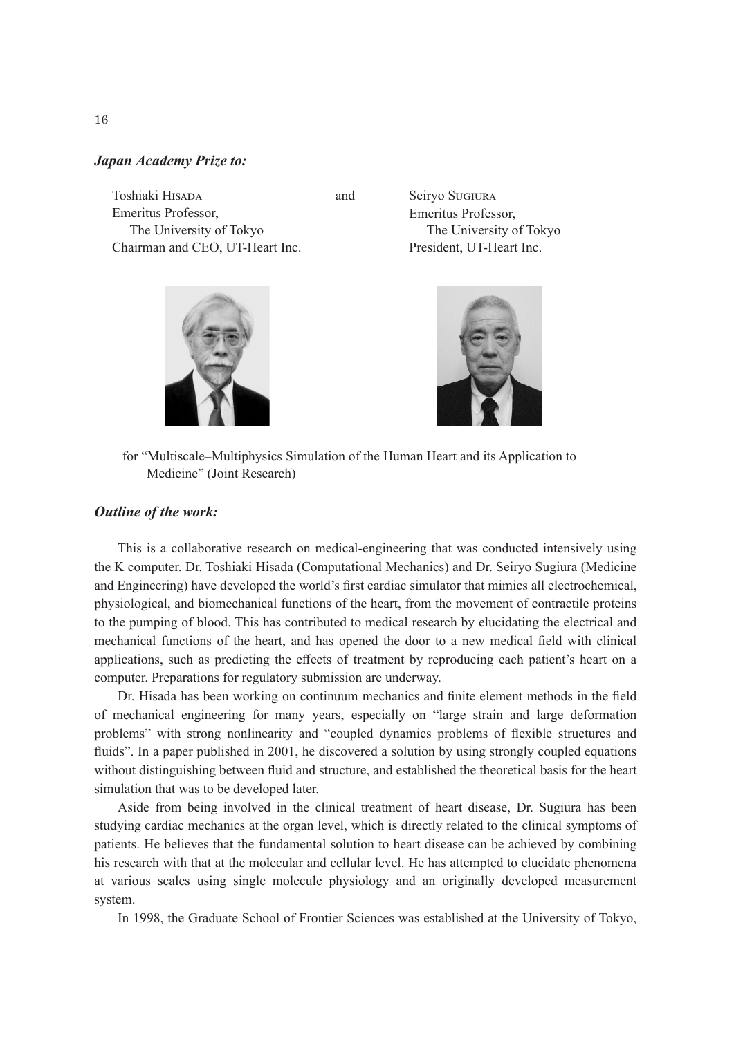## *Japan Academy Prize to:*

Toshiaki HISADA Emeritus Professor, The University of Tokyo Chairman and CEO, UT-Heart Inc.



 and Seiryo Sugiura Emeritus Professor, The University of Tokyo President, UT-Heart Inc.



for "Multiscale–Multiphysics Simulation of the Human Heart and its Application to Medicine" (Joint Research)

## *Outline of the work:*

This is a collaborative research on medical-engineering that was conducted intensively using the K computer. Dr. Toshiaki Hisada (Computational Mechanics) and Dr. Seiryo Sugiura (Medicine and Engineering) have developed the world's first cardiac simulator that mimics all electrochemical, physiological, and biomechanical functions of the heart, from the movement of contractile proteins to the pumping of blood. This has contributed to medical research by elucidating the electrical and mechanical functions of the heart, and has opened the door to a new medical field with clinical applications, such as predicting the effects of treatment by reproducing each patient's heart on a computer. Preparations for regulatory submission are underway.

Dr. Hisada has been working on continuum mechanics and finite element methods in the field of mechanical engineering for many years, especially on "large strain and large deformation problems" with strong nonlinearity and "coupled dynamics problems of flexible structures and fluids". In a paper published in 2001, he discovered a solution by using strongly coupled equations without distinguishing between fluid and structure, and established the theoretical basis for the heart simulation that was to be developed later.

Aside from being involved in the clinical treatment of heart disease, Dr. Sugiura has been studying cardiac mechanics at the organ level, which is directly related to the clinical symptoms of patients. He believes that the fundamental solution to heart disease can be achieved by combining his research with that at the molecular and cellular level. He has attempted to elucidate phenomena at various scales using single molecule physiology and an originally developed measurement system.

In 1998, the Graduate School of Frontier Sciences was established at the University of Tokyo,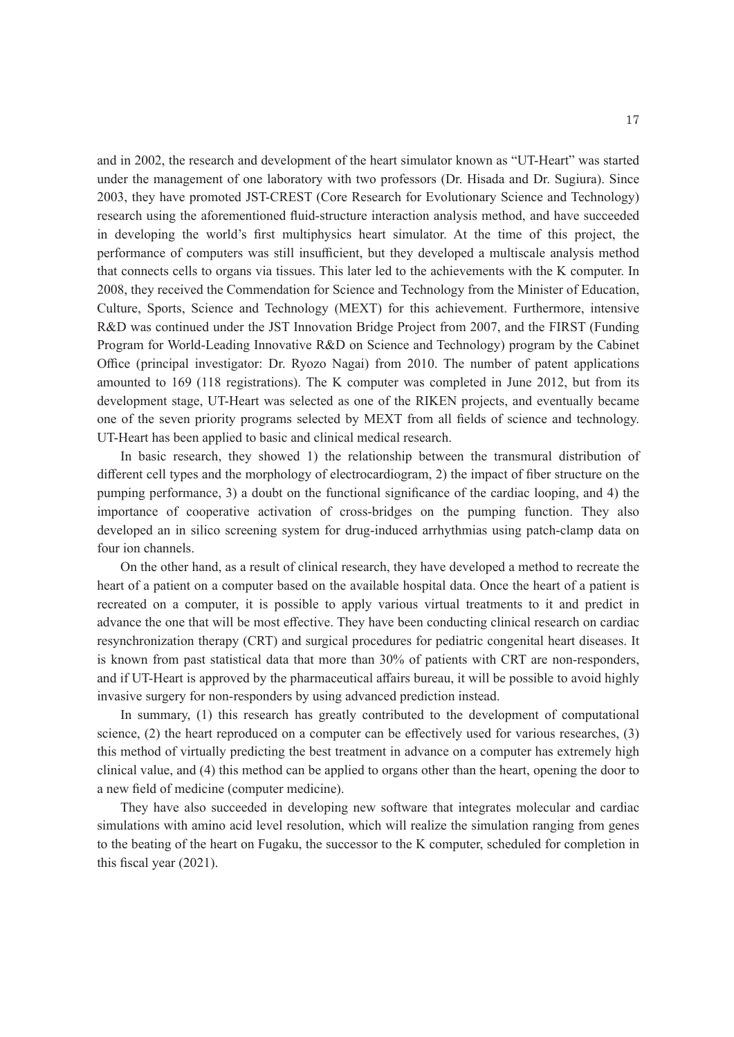and in 2002, the research and development of the heart simulator known as "UT-Heart" was started under the management of one laboratory with two professors (Dr. Hisada and Dr. Sugiura). Since 2003, they have promoted JST-CREST (Core Research for Evolutionary Science and Technology) research using the aforementioned fluid-structure interaction analysis method, and have succeeded in developing the world's first multiphysics heart simulator. At the time of this project, the performance of computers was still insufficient, but they developed a multiscale analysis method that connects cells to organs via tissues. This later led to the achievements with the K computer. In 2008, they received the Commendation for Science and Technology from the Minister of Education, Culture, Sports, Science and Technology (MEXT) for this achievement. Furthermore, intensive R&D was continued under the JST Innovation Bridge Project from 2007, and the FIRST (Funding Program for World-Leading Innovative R&D on Science and Technology) program by the Cabinet Office (principal investigator: Dr. Ryozo Nagai) from 2010. The number of patent applications amounted to 169 (118 registrations). The K computer was completed in June 2012, but from its development stage, UT-Heart was selected as one of the RIKEN projects, and eventually became one of the seven priority programs selected by MEXT from all fields of science and technology. UT-Heart has been applied to basic and clinical medical research.

In basic research, they showed 1) the relationship between the transmural distribution of different cell types and the morphology of electrocardiogram, 2) the impact of fiber structure on the pumping performance, 3) a doubt on the functional significance of the cardiac looping, and 4) the importance of cooperative activation of cross-bridges on the pumping function. They also developed an in silico screening system for drug-induced arrhythmias using patch-clamp data on four ion channels.

On the other hand, as a result of clinical research, they have developed a method to recreate the heart of a patient on a computer based on the available hospital data. Once the heart of a patient is recreated on a computer, it is possible to apply various virtual treatments to it and predict in advance the one that will be most effective. They have been conducting clinical research on cardiac resynchronization therapy (CRT) and surgical procedures for pediatric congenital heart diseases. It is known from past statistical data that more than 30% of patients with CRT are non-responders, and if UT-Heart is approved by the pharmaceutical affairs bureau, it will be possible to avoid highly invasive surgery for non-responders by using advanced prediction instead.

In summary, (1) this research has greatly contributed to the development of computational science, (2) the heart reproduced on a computer can be effectively used for various researches, (3) this method of virtually predicting the best treatment in advance on a computer has extremely high clinical value, and (4) this method can be applied to organs other than the heart, opening the door to a new field of medicine (computer medicine).

They have also succeeded in developing new software that integrates molecular and cardiac simulations with amino acid level resolution, which will realize the simulation ranging from genes to the beating of the heart on Fugaku, the successor to the K computer, scheduled for completion in this fiscal year (2021).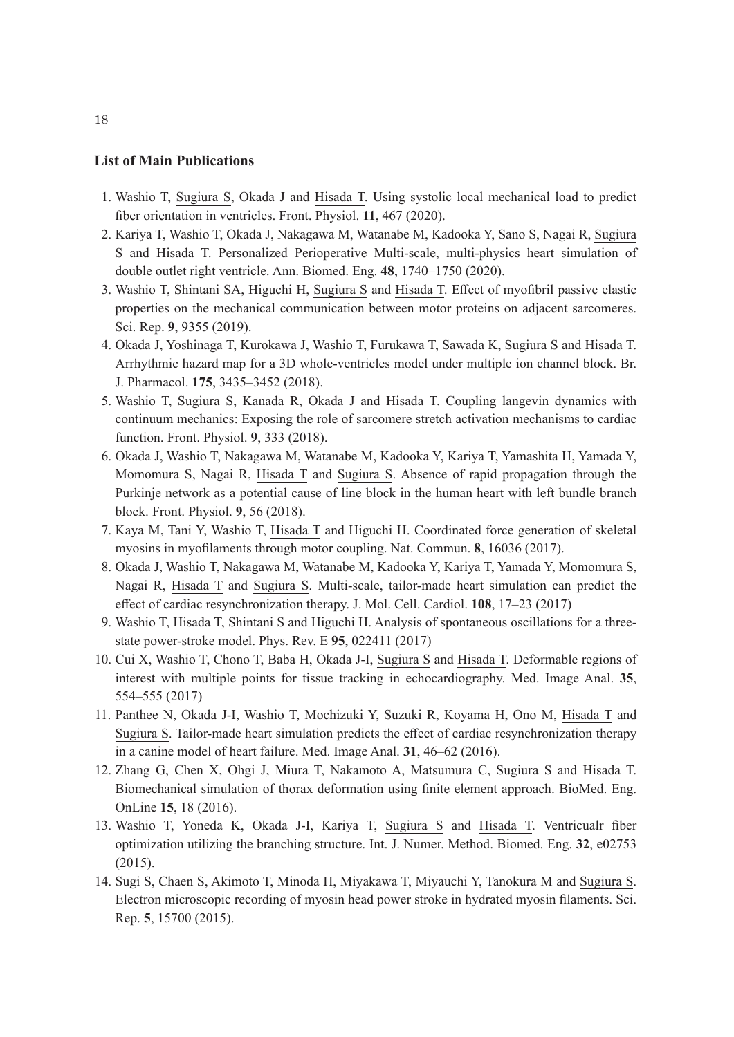## **List of Main Publications**

- 1. Washio T, Sugiura S, Okada J and Hisada T. Using systolic local mechanical load to predict fiber orientation in ventricles. Front. Physiol. **11**, 467 (2020).
- 2. Kariya T, Washio T, Okada J, Nakagawa M, Watanabe M, Kadooka Y, Sano S, Nagai R, Sugiura S and Hisada T. Personalized Perioperative Multi-scale, multi-physics heart simulation of double outlet right ventricle. Ann. Biomed. Eng. **48**, 1740–1750 (2020).
- 3. Washio T, Shintani SA, Higuchi H, Sugiura S and Hisada T. Effect of myofibril passive elastic properties on the mechanical communication between motor proteins on adjacent sarcomeres. Sci. Rep. **9**, 9355 (2019).
- 4. Okada J, Yoshinaga T, Kurokawa J, Washio T, Furukawa T, Sawada K, Sugiura S and Hisada T. Arrhythmic hazard map for a 3D whole-ventricles model under multiple ion channel block. Br. J. Pharmacol. **175**, 3435–3452 (2018).
- 5. Washio T, Sugiura S, Kanada R, Okada J and Hisada T. Coupling langevin dynamics with continuum mechanics: Exposing the role of sarcomere stretch activation mechanisms to cardiac function. Front. Physiol. **9**, 333 (2018).
- 6. Okada J, Washio T, Nakagawa M, Watanabe M, Kadooka Y, Kariya T, Yamashita H, Yamada Y, Momomura S, Nagai R, Hisada T and Sugiura S. Absence of rapid propagation through the Purkinje network as a potential cause of line block in the human heart with left bundle branch block. Front. Physiol. **9**, 56 (2018).
- 7. Kaya M, Tani Y, Washio T, Hisada T and Higuchi H. Coordinated force generation of skeletal myosins in myofilaments through motor coupling. Nat. Commun. **8**, 16036 (2017).
- 8. Okada J, Washio T, Nakagawa M, Watanabe M, Kadooka Y, Kariya T, Yamada Y, Momomura S, Nagai R, Hisada T and Sugiura S. Multi-scale, tailor-made heart simulation can predict the effect of cardiac resynchronization therapy. J. Mol. Cell. Cardiol. **108**, 17–23 (2017)
- 9. Washio T, Hisada T, Shintani S and Higuchi H. Analysis of spontaneous oscillations for a threestate power-stroke model. Phys. Rev. E **95**, 022411 (2017)
- 10. Cui X, Washio T, Chono T, Baba H, Okada J-I, Sugiura S and Hisada T. Deformable regions of interest with multiple points for tissue tracking in echocardiography. Med. Image Anal. **35**, 554–555 (2017)
- 11. Panthee N, Okada J-I, Washio T, Mochizuki Y, Suzuki R, Koyama H, Ono M, Hisada T and Sugiura S. Tailor-made heart simulation predicts the effect of cardiac resynchronization therapy in a canine model of heart failure. Med. Image Anal. **31**, 46–62 (2016).
- 12. Zhang G, Chen X, Ohgi J, Miura T, Nakamoto A, Matsumura C, Sugiura S and Hisada T. Biomechanical simulation of thorax deformation using finite element approach. BioMed. Eng. OnLine **15**, 18 (2016).
- 13. Washio T, Yoneda K, Okada J-I, Kariya T, Sugiura S and Hisada T. Ventricualr fiber optimization utilizing the branching structure. Int. J. Numer. Method. Biomed. Eng. **32**, e02753 (2015).
- 14. Sugi S, Chaen S, Akimoto T, Minoda H, Miyakawa T, Miyauchi Y, Tanokura M and Sugiura S. Electron microscopic recording of myosin head power stroke in hydrated myosin filaments. Sci. Rep. **5**, 15700 (2015).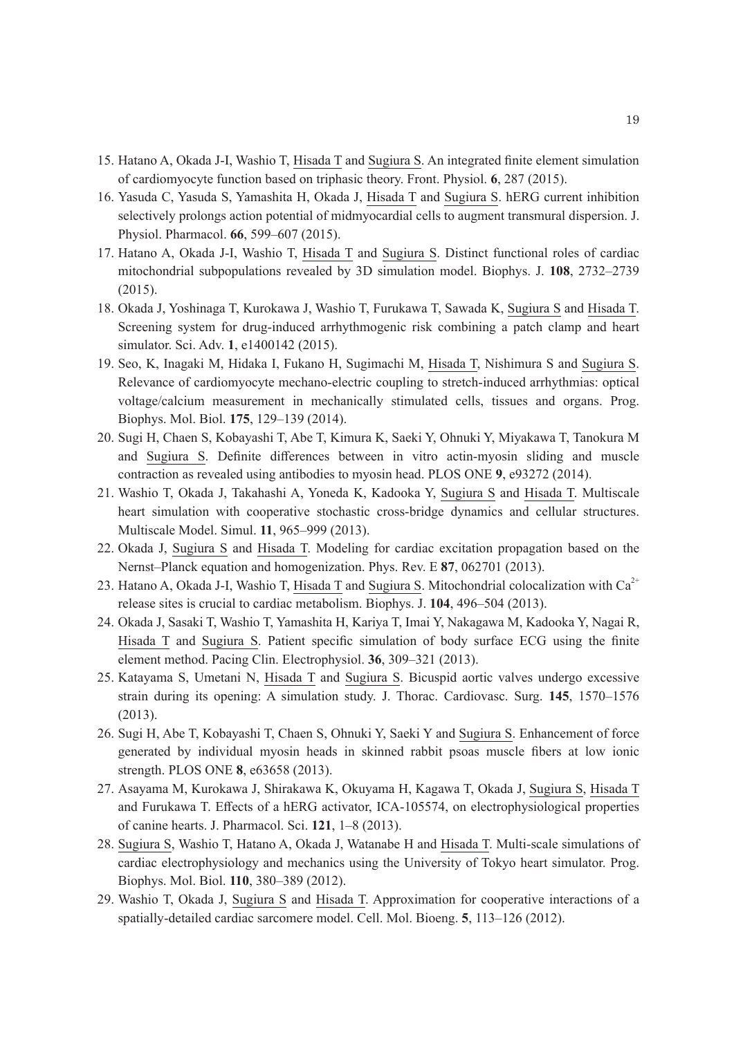- 15. Hatano A, Okada J-I, Washio T, Hisada T and Sugiura S. An integrated finite element simulation of cardiomyocyte function based on triphasic theory. Front. Physiol. **6**, 287 (2015).
- 16. Yasuda C, Yasuda S, Yamashita H, Okada J, Hisada T and Sugiura S. hERG current inhibition selectively prolongs action potential of midmyocardial cells to augment transmural dispersion. J. Physiol. Pharmacol. **66**, 599–607 (2015).
- 17. Hatano A, Okada J-I, Washio T, Hisada T and Sugiura S. Distinct functional roles of cardiac mitochondrial subpopulations revealed by 3D simulation model. Biophys. J. **108**, 2732–2739 (2015).
- 18. Okada J, Yoshinaga T, Kurokawa J, Washio T, Furukawa T, Sawada K, Sugiura S and Hisada T. Screening system for drug-induced arrhythmogenic risk combining a patch clamp and heart simulator. Sci. Adv. **1**, e1400142 (2015).
- 19. Seo, K, Inagaki M, Hidaka I, Fukano H, Sugimachi M, Hisada T, Nishimura S and Sugiura S. Relevance of cardiomyocyte mechano-electric coupling to stretch-induced arrhythmias: optical voltage/calcium measurement in mechanically stimulated cells, tissues and organs. Prog. Biophys. Mol. Biol. **175**, 129–139 (2014).
- 20. Sugi H, Chaen S, Kobayashi T, Abe T, Kimura K, Saeki Y, Ohnuki Y, Miyakawa T, Tanokura M and Sugiura S. Definite differences between in vitro actin-myosin sliding and muscle contraction as revealed using antibodies to myosin head. PLOS ONE **9**, e93272 (2014).
- 21. Washio T, Okada J, Takahashi A, Yoneda K, Kadooka Y, Sugiura S and Hisada T. Multiscale heart simulation with cooperative stochastic cross-bridge dynamics and cellular structures. Multiscale Model. Simul. **11**, 965–999 (2013).
- 22. Okada J, Sugiura S and Hisada T. Modeling for cardiac excitation propagation based on the Nernst–Planck equation and homogenization. Phys. Rev. E **87**, 062701 (2013).
- 23. Hatano A, Okada J-I, Washio T, Hisada T and Sugiura S. Mitochondrial colocalization with  $Ca^{2+}$ release sites is crucial to cardiac metabolism. Biophys. J. **104**, 496–504 (2013).
- 24. Okada J, Sasaki T, Washio T, Yamashita H, Kariya T, Imai Y, Nakagawa M, Kadooka Y, Nagai R, Hisada T and Sugiura S. Patient specific simulation of body surface ECG using the finite element method. Pacing Clin. Electrophysiol. **36**, 309–321 (2013).
- 25. Katayama S, Umetani N, Hisada T and Sugiura S. Bicuspid aortic valves undergo excessive strain during its opening: A simulation study. J. Thorac. Cardiovasc. Surg. **145**, 1570–1576 (2013).
- 26. Sugi H, Abe T, Kobayashi T, Chaen S, Ohnuki Y, Saeki Y and Sugiura S. Enhancement of force generated by individual myosin heads in skinned rabbit psoas muscle fibers at low ionic strength. PLOS ONE **8**, e63658 (2013).
- 27. Asayama M, Kurokawa J, Shirakawa K, Okuyama H, Kagawa T, Okada J, Sugiura S, Hisada T and Furukawa T. Effects of a hERG activator, ICA-105574, on electrophysiological properties of canine hearts. J. Pharmacol. Sci. **121**, 1–8 (2013).
- 28. Sugiura S, Washio T, Hatano A, Okada J, Watanabe H and Hisada T. Multi-scale simulations of cardiac electrophysiology and mechanics using the University of Tokyo heart simulator. Prog. Biophys. Mol. Biol. **110**, 380–389 (2012).
- 29. Washio T, Okada J, Sugiura S and Hisada T. Approximation for cooperative interactions of a spatially-detailed cardiac sarcomere model. Cell. Mol. Bioeng. **5**, 113–126 (2012).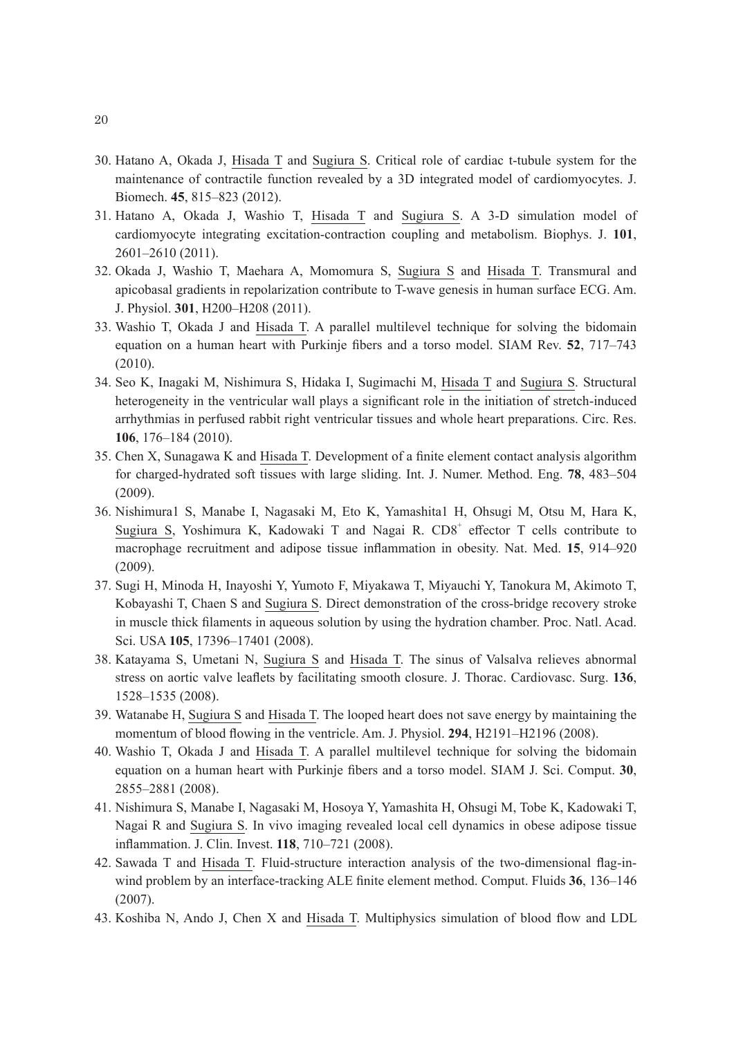- 30. Hatano A, Okada J, Hisada T and Sugiura S. Critical role of cardiac t-tubule system for the maintenance of contractile function revealed by a 3D integrated model of cardiomyocytes. J. Biomech. **45**, 815–823 (2012).
- 31. Hatano A, Okada J, Washio T, Hisada T and Sugiura S. A 3-D simulation model of cardiomyocyte integrating excitation-contraction coupling and metabolism. Biophys. J. **101**, 2601–2610 (2011).
- 32. Okada J, Washio T, Maehara A, Momomura S, Sugiura S and Hisada T. Transmural and apicobasal gradients in repolarization contribute to T-wave genesis in human surface ECG. Am. J. Physiol. **301**, H200–H208 (2011).
- 33. Washio T, Okada J and Hisada T. A parallel multilevel technique for solving the bidomain equation on a human heart with Purkinje fibers and a torso model. SIAM Rev. **52**, 717–743 (2010).
- 34. Seo K, Inagaki M, Nishimura S, Hidaka I, Sugimachi M, Hisada T and Sugiura S. Structural heterogeneity in the ventricular wall plays a significant role in the initiation of stretch-induced arrhythmias in perfused rabbit right ventricular tissues and whole heart preparations. Circ. Res. **106**, 176–184 (2010).
- 35. Chen X, Sunagawa K and Hisada T. Development of a finite element contact analysis algorithm for charged-hydrated soft tissues with large sliding. Int. J. Numer. Method. Eng. **78**, 483–504 (2009).
- 36. Nishimura1 S, Manabe I, Nagasaki M, Eto K, Yamashita1 H, Ohsugi M, Otsu M, Hara K, Sugiura S, Yoshimura K, Kadowaki T and Nagai R. CD8<sup>+</sup> effector T cells contribute to macrophage recruitment and adipose tissue inflammation in obesity. Nat. Med. **15**, 914–920 (2009).
- 37. Sugi H, Minoda H, Inayoshi Y, Yumoto F, Miyakawa T, Miyauchi Y, Tanokura M, Akimoto T, Kobayashi T, Chaen S and Sugiura S. Direct demonstration of the cross-bridge recovery stroke in muscle thick filaments in aqueous solution by using the hydration chamber. Proc. Natl. Acad. Sci. USA **105**, 17396–17401 (2008).
- 38. Katayama S, Umetani N, Sugiura S and Hisada T. The sinus of Valsalva relieves abnormal stress on aortic valve leaflets by facilitating smooth closure. J. Thorac. Cardiovasc. Surg. **136**, 1528–1535 (2008).
- 39. Watanabe H, Sugiura S and Hisada T. The looped heart does not save energy by maintaining the momentum of blood flowing in the ventricle. Am. J. Physiol. **294**, H2191–H2196 (2008).
- 40. Washio T, Okada J and Hisada T. A parallel multilevel technique for solving the bidomain equation on a human heart with Purkinje fibers and a torso model. SIAM J. Sci. Comput. **30**, 2855–2881 (2008).
- 41. Nishimura S, Manabe I, Nagasaki M, Hosoya Y, Yamashita H, Ohsugi M, Tobe K, Kadowaki T, Nagai R and Sugiura S. In vivo imaging revealed local cell dynamics in obese adipose tissue inflammation. J. Clin. Invest. **118**, 710–721 (2008).
- 42. Sawada T and Hisada T. Fluid-structure interaction analysis of the two-dimensional flag-inwind problem by an interface-tracking ALE finite element method. Comput. Fluids **36**, 136–146 (2007).
- 43. Koshiba N, Ando J, Chen X and Hisada T. Multiphysics simulation of blood flow and LDL